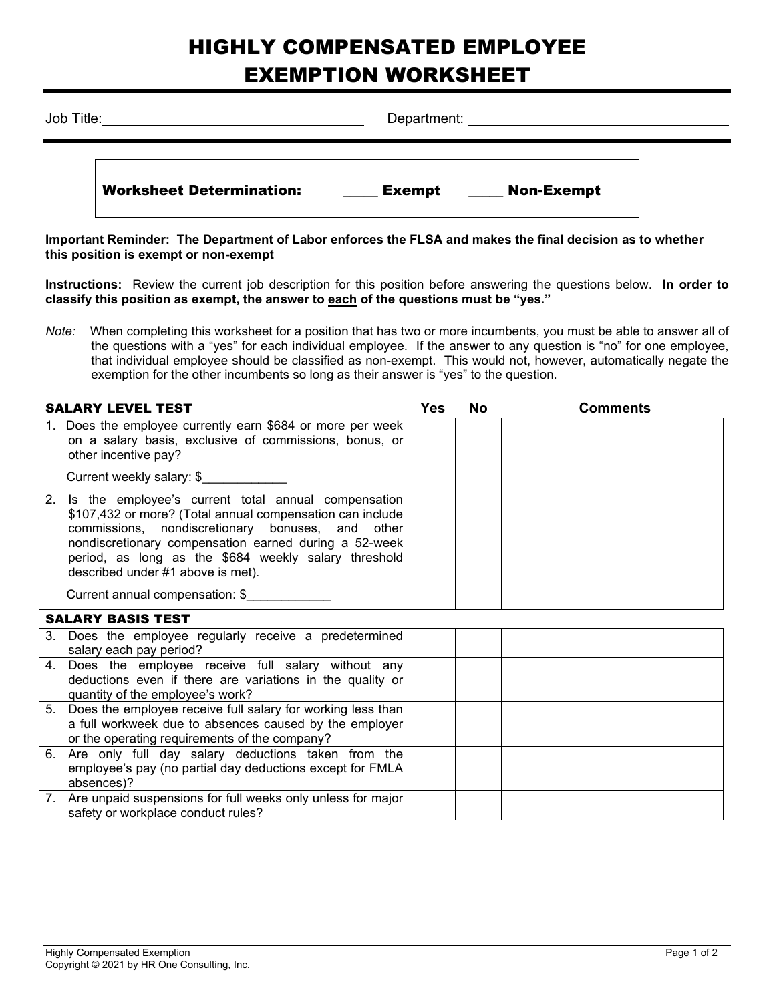## HIGHLY COMPENSATED EMPLOYEE EXEMPTION WORKSHEET

| Job Title: |                                 | Department: explorer and the set of the set of the set of the set of the set of the set of the set of the set o |  |  |  |  |  |  |
|------------|---------------------------------|-----------------------------------------------------------------------------------------------------------------|--|--|--|--|--|--|
|            | <b>Worksheet Determination:</b> | Non-Exempt<br>Exempt                                                                                            |  |  |  |  |  |  |

**Important Reminder: The Department of Labor enforces the FLSA and makes the final decision as to whether this position is exempt or non-exempt**

**Instructions:** Review the current job description for this position before answering the questions below. **In order to classify this position as exempt, the answer to each of the questions must be "yes."**

*Note:* When completing this worksheet for a position that has two or more incumbents, you must be able to answer all of the questions with a "yes" for each individual employee. If the answer to any question is "no" for one employee, that individual employee should be classified as non-exempt. This would not, however, automatically negate the exemption for the other incumbents so long as their answer is "yes" to the question.

| <b>SALARY LEVEL TEST</b>                                                                                                                                                                                                                                                                                                                                         |  | No | <b>Comments</b> |
|------------------------------------------------------------------------------------------------------------------------------------------------------------------------------------------------------------------------------------------------------------------------------------------------------------------------------------------------------------------|--|----|-----------------|
| 1. Does the employee currently earn \$684 or more per week<br>on a salary basis, exclusive of commissions, bonus, or<br>other incentive pay?                                                                                                                                                                                                                     |  |    |                 |
| Current weekly salary: \$                                                                                                                                                                                                                                                                                                                                        |  |    |                 |
| 2. Is the employee's current total annual compensation<br>\$107,432 or more? (Total annual compensation can include<br>commissions, nondiscretionary bonuses, and other<br>nondiscretionary compensation earned during a 52-week<br>period, as long as the \$684 weekly salary threshold<br>described under #1 above is met).<br>Current annual compensation: \$ |  |    |                 |

## SALARY BASIS TEST

| 3. Does the employee regularly receive a predetermined<br>salary each pay period?                                                                                         |  |  |
|---------------------------------------------------------------------------------------------------------------------------------------------------------------------------|--|--|
| 4. Does the employee receive full salary without any<br>deductions even if there are variations in the quality or<br>quantity of the employee's work?                     |  |  |
| 5. Does the employee receive full salary for working less than<br>a full workweek due to absences caused by the employer<br>or the operating requirements of the company? |  |  |
| 6. Are only full day salary deductions taken from the<br>employee's pay (no partial day deductions except for FMLA<br>absences)?                                          |  |  |
| 7. Are unpaid suspensions for full weeks only unless for major<br>safety or workplace conduct rules?                                                                      |  |  |